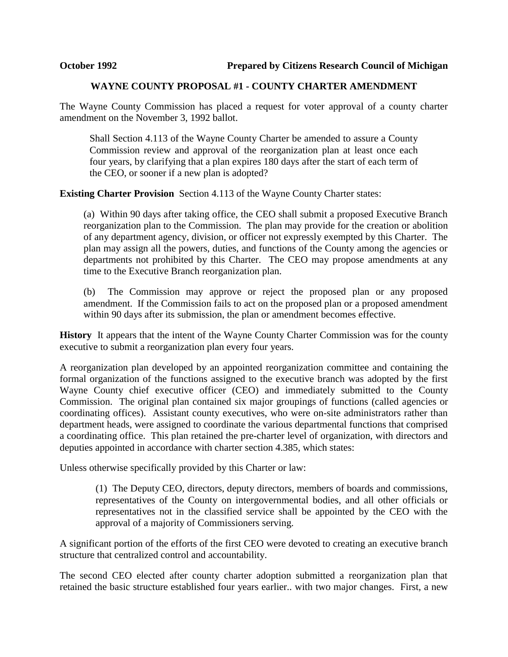## **WAYNE COUNTY PROPOSAL #1 - COUNTY CHARTER AMENDMENT**

The Wayne County Commission has placed a request for voter approval of a county charter amendment on the November 3, 1992 ballot.

Shall Section 4.113 of the Wayne County Charter be amended to assure a County Commission review and approval of the reorganization plan at least once each four years, by clarifying that a plan expires 180 days after the start of each term of the CEO, or sooner if a new plan is adopted?

**Existing Charter Provision** Section 4.113 of the Wayne County Charter states:

(a) Within 90 days after taking office, the CEO shall submit a proposed Executive Branch reorganization plan to the Commission. The plan may provide for the creation or abolition of any department agency, division, or officer not expressly exempted by this Charter. The plan may assign all the powers, duties, and functions of the County among the agencies or departments not prohibited by this Charter. The CEO may propose amendments at any time to the Executive Branch reorganization plan.

(b) The Commission may approve or reject the proposed plan or any proposed amendment. If the Commission fails to act on the proposed plan or a proposed amendment within 90 days after its submission, the plan or amendment becomes effective.

**History** It appears that the intent of the Wayne County Charter Commission was for the county executive to submit a reorganization plan every four years.

A reorganization plan developed by an appointed reorganization committee and containing the formal organization of the functions assigned to the executive branch was adopted by the first Wayne County chief executive officer (CEO) and immediately submitted to the County Commission. The original plan contained six major groupings of functions (called agencies or coordinating offices). Assistant county executives, who were on-site administrators rather than department heads, were assigned to coordinate the various departmental functions that comprised a coordinating office. This plan retained the pre-charter level of organization, with directors and deputies appointed in accordance with charter section 4.385, which states:

Unless otherwise specifically provided by this Charter or law:

(1) The Deputy CEO, directors, deputy directors, members of boards and commissions, representatives of the County on intergovernmental bodies, and all other officials or representatives not in the classified service shall be appointed by the CEO with the approval of a majority of Commissioners serving.

A significant portion of the efforts of the first CEO were devoted to creating an executive branch structure that centralized control and accountability.

The second CEO elected after county charter adoption submitted a reorganization plan that retained the basic structure established four years earlier.. with two major changes. First, a new